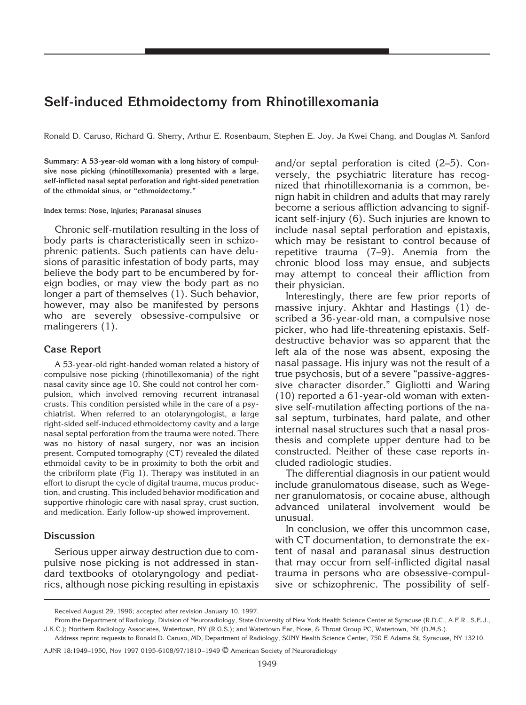# **Self-induced Ethmoidectomy from Rhinotillexomania**

Ronald D. Caruso, Richard G. Sherry, Arthur E. Rosenbaum, Stephen E. Joy, Ja Kwei Chang, and Douglas M. Sanford

**Summary: A 53-year-old woman with a long history of compulsive nose picking (rhinotillexomania) presented with a large, self-inflicted nasal septal perforation and right-sided penetration of the ethmoidal sinus, or "ethmoidectomy."**

#### **Index terms: Nose, injuries; Paranasal sinuses**

Chronic self-mutilation resulting in the loss of body parts is characteristically seen in schizophrenic patients. Such patients can have delusions of parasitic infestation of body parts, may believe the body part to be encumbered by foreign bodies, or may view the body part as no longer a part of themselves (1). Such behavior, however, may also be manifested by persons who are severely obsessive-compulsive or malingerers (1).

## **Case Report**

A 53-year-old right-handed woman related a history of compulsive nose picking (rhinotillexomania) of the right nasal cavity since age 10. She could not control her compulsion, which involved removing recurrent intranasal crusts. This condition persisted while in the care of a psychiatrist. When referred to an otolaryngologist, a large right-sided self-induced ethmoidectomy cavity and a large nasal septal perforation from the trauma were noted. There was no history of nasal surgery, nor was an incision present. Computed tomography (CT) revealed the dilated ethmoidal cavity to be in proximity to both the orbit and the cribriform plate (Fig 1). Therapy was instituted in an effort to disrupt the cycle of digital trauma, mucus production, and crusting. This included behavior modification and supportive rhinologic care with nasal spray, crust suction, and medication. Early follow-up showed improvement.

#### **Discussion**

Serious upper airway destruction due to compulsive nose picking is not addressed in standard textbooks of otolaryngology and pediatrics, although nose picking resulting in epistaxis

and/or septal perforation is cited (2–5). Conversely, the psychiatric literature has recognized that rhinotillexomania is a common, benign habit in children and adults that may rarely become a serious affliction advancing to significant self-injury (6). Such injuries are known to include nasal septal perforation and epistaxis, which may be resistant to control because of repetitive trauma (7–9). Anemia from the chronic blood loss may ensue, and subjects may attempt to conceal their affliction from their physician.

Interestingly, there are few prior reports of massive injury. Akhtar and Hastings (1) described a 36-year-old man, a compulsive nose picker, who had life-threatening epistaxis. Selfdestructive behavior was so apparent that the left ala of the nose was absent, exposing the nasal passage. His injury was not the result of a true psychosis, but of a severe "passive-aggressive character disorder." Gigliotti and Waring (10) reported a 61-year-old woman with extensive self-mutilation affecting portions of the nasal septum, turbinates, hard palate, and other internal nasal structures such that a nasal prosthesis and complete upper denture had to be constructed. Neither of these case reports included radiologic studies.

The differential diagnosis in our patient would include granulomatous disease, such as Wegener granulomatosis, or cocaine abuse, although advanced unilateral involvement would be unusual.

In conclusion, we offer this uncommon case, with CT documentation, to demonstrate the extent of nasal and paranasal sinus destruction that may occur from self-inflicted digital nasal trauma in persons who are obsessive-compulsive or schizophrenic. The possibility of self-

Received August 29, 1996; accepted after revision January 10, 1997.

From the Department of Radiology, Division of Neuroradiology, State University of New York Health Science Center at Syracuse (R.D.C., A.E.R., S.E.J., J.K.C.); Northern Radiology Associates, Watertown, NY (R.G.S.); and Watertown Ear, Nose, & Throat Group PC, Watertown, NY (D.M.S.).

Address reprint requests to Ronald D. Caruso, MD, Department of Radiology, SUNY Health Science Center, 750 E Adams St, Syracuse, NY 13210.

AJNR 18:1949–1950, Nov 1997 0195-6108/97/1810–1949 © American Society of Neuroradiology